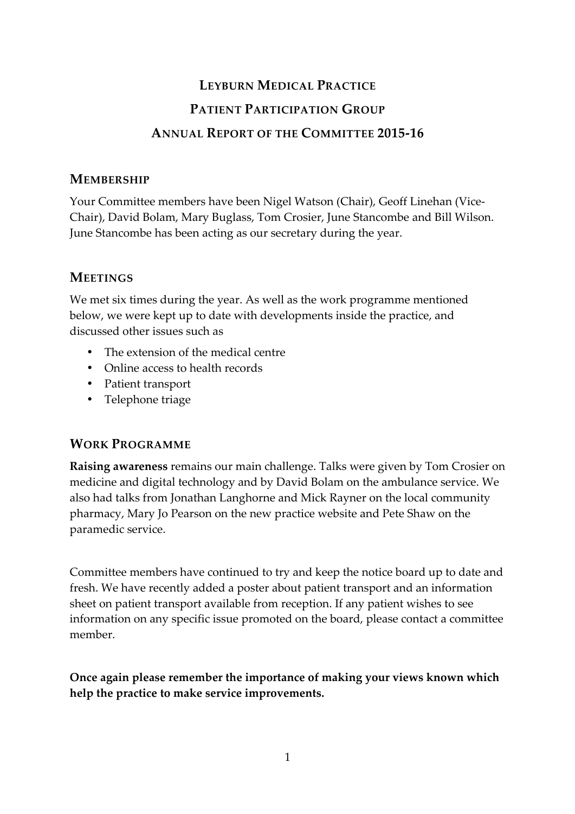# **LEYBURN MEDICAL PRACTICE PATIENT PARTICIPATION GROUP ANNUAL REPORT OF THE COMMITTEE 2015-16**

### **MEMBERSHIP**

Your Committee members have been Nigel Watson (Chair), Geoff Linehan (Vice-Chair), David Bolam, Mary Buglass, Tom Crosier, June Stancombe and Bill Wilson. June Stancombe has been acting as our secretary during the year.

# **MEETINGS**

We met six times during the year. As well as the work programme mentioned below, we were kept up to date with developments inside the practice, and discussed other issues such as

- The extension of the medical centre
- Online access to health records
- Patient transport
- Telephone triage

## **WORK PROGRAMME**

**Raising awareness** remains our main challenge. Talks were given by Tom Crosier on medicine and digital technology and by David Bolam on the ambulance service. We also had talks from Jonathan Langhorne and Mick Rayner on the local community pharmacy, Mary Jo Pearson on the new practice website and Pete Shaw on the paramedic service.

Committee members have continued to try and keep the notice board up to date and fresh. We have recently added a poster about patient transport and an information sheet on patient transport available from reception. If any patient wishes to see information on any specific issue promoted on the board, please contact a committee member.

**Once again please remember the importance of making your views known which help the practice to make service improvements.**